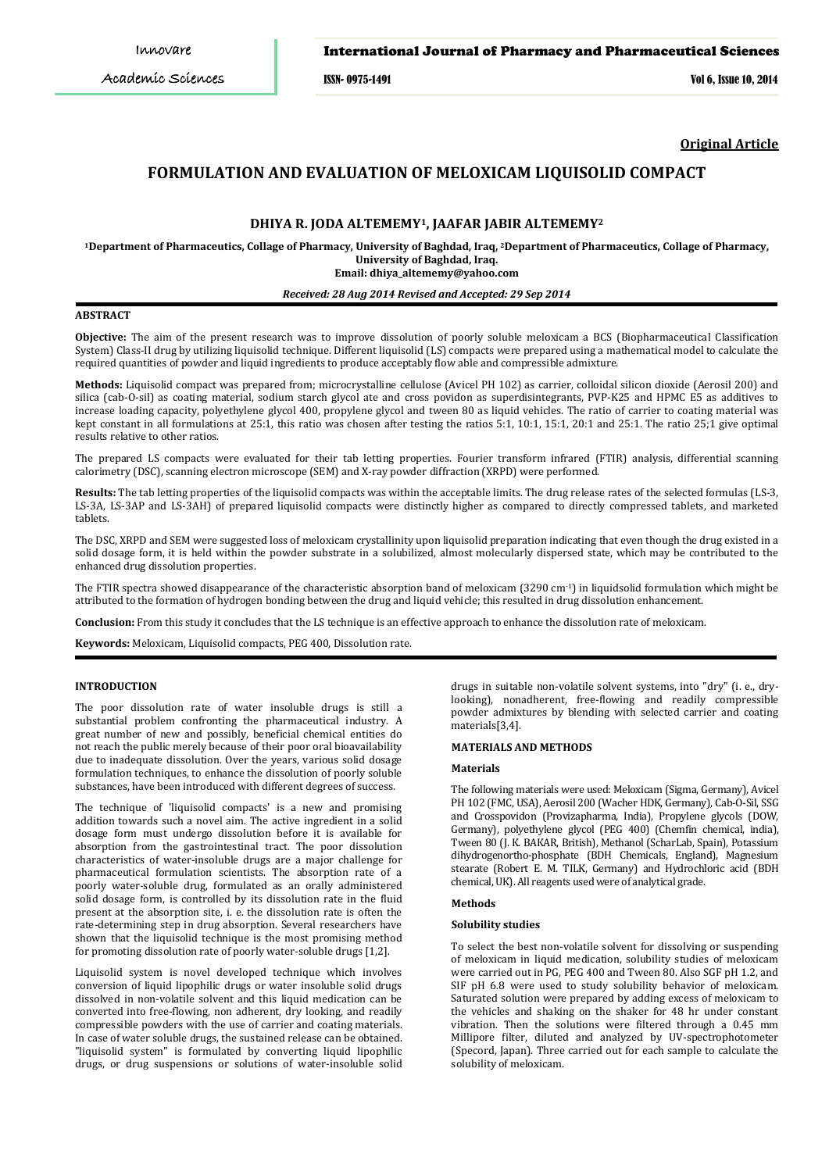# International Journal of Pharmacy and Pharmaceutical Sciences

ISSN- 0975-1491 Vol 6, Issue 10, 2014

**Original Article**

# **FORMULATION AND EVALUATION OF MELOXICAM LIQUISOLID COMPACT**

# **DHIYA R. JODA ALTEMEMY1, JAAFAR JABIR ALTEMEMY2**

**1Department of Pharmaceutics, Collage of Pharmacy, University of Baghdad, Iraq, <sup>2</sup> Department of Pharmaceutics, Collage of Pharmacy, [dhiya\\_altememy@yahoo.com](mailto:dhiya_altememy@yahoo.com) Email: University of Baghdad, Iraq.**

## *Received: 28 Aug 2014 Revised and Accepted: 29 Sep 2014*

### **ABSTRACT**

**Objective:** The aim of the present research was to improve dissolution of poorly soluble meloxicam a BCS (Biopharmaceutical Classification System) Class-II drug by utilizing liquisolid technique. Different liquisolid (LS) compacts were prepared using a mathematical model to calculate the required quantities of powder and liquid ingredients to produce acceptably flow able and compressible admixture.

**Methods:** Liquisolid compact was prepared from; microcrystalline cellulose (Avicel PH 102) as carrier, colloidal silicon dioxide (Aerosil 200) and silica (cab-O-sil) as coating material, sodium starch glycol ate and cross povidon as superdisintegrants, PVP-K25 and HPMC E5 as additives to increase loading capacity, polyethylene glycol 400, propylene glycol and tween 80 as liquid vehicles. The ratio of carrier to coating material was kept constant in all formulations at 25:1, this ratio was chosen after testing the ratios 5:1, 10:1, 15:1, 20:1 and 25:1. The ratio 25;1 give optimal results relative to other ratios.

The prepared LS compacts were evaluated for their tab letting properties. Fourier transform infrared (FTIR) analysis, differential scanning calorimetry (DSC), scanning electron microscope (SEM) and X-ray powder diffraction (XRPD) were performed.

**Results:** The tab letting properties of the liquisolid compacts was within the acceptable limits. The drug release rates of the selected formulas (LS-3, LS-3A, LS-3AP and LS-3AH) of prepared liquisolid compacts were distinctly higher as compared to directly compressed tablets, and marketed tablets.

The DSC, XRPD and SEM were suggested loss of meloxicam crystallinity upon liquisolid preparation indicating that even though the drug existed in a solid dosage form, it is held within the powder substrate in a solubilized, almost molecularly dispersed state, which may be contributed to the enhanced drug dissolution properties.

The FTIR spectra showed disappearance of the characteristic absorption band of meloxicam (3290 cm-1 ) in liquidsolid formulation which might be attributed to the formation of hydrogen bonding between the drug and liquid vehicle; this resulted in drug dissolution enhancement.

**Conclusion:** From this study it concludes that the LS technique is an effective approach to enhance the dissolution rate of meloxicam.

**Keywords:** Meloxicam, Liquisolid compacts, PEG 400, Dissolution rate.

### **INTRODUCTION**

The poor dissolution rate of water insoluble drugs is still a substantial problem confronting the pharmaceutical industry. A great number of new and possibly, beneficial chemical entities do not reach the public merely because of their poor oral bioavailability due to inadequate dissolution. Over the years, various solid dosage formulation techniques, to enhance the dissolution of poorly soluble substances, have been introduced with different degrees of success.

The technique of 'liquisolid compacts' is a new and promising addition towards such a novel aim. The active ingredient in a solid dosage form must undergo dissolution before it is available for absorption from the gastrointestinal tract. The poor dissolution characteristics of water-insoluble drugs are a major challenge for pharmaceutical formulation scientists. The absorption rate of a poorly water-soluble drug, formulated as an orally administered solid dosage form, is controlled by its dissolution rate in the fluid present at the absorption site, i. e. the dissolution rate is often the rate-determining step in drug absorption. Several researchers have shown that the liquisolid technique is the most promising method for promoting dissolution rate of poorly water-soluble drugs [1,2].

Liquisolid system is novel developed technique which involves conversion of liquid lipophilic drugs or water insoluble solid drugs dissolved in non-volatile solvent and this liquid medication can be converted into free-flowing, non adherent, dry looking, and readily compressible powders with the use of carrier and coating materials. In case of water soluble drugs, the sustained release can be obtained. "liquisolid system" is formulated by converting liquid lipophilic drugs, or drug suspensions or solutions of water-insoluble solid

drugs in suitable non-volatile solvent systems, into "dry" (i. e., drylooking), nonadherent, free-flowing and readily compressible powder admixtures by blending with selected carrier and coating materials[3,4].

# **MATERIALS AND METHODS**

## **Materials**

The following materials were used: Meloxicam (Sigma, Germany), Avicel PH 102 (FMC, USA), Aerosil 200 (Wacher HDK, Germany), Cab-O-Sil, SSG and Crosspovidon (Provizapharma, India), Propylene glycols (DOW, Germany), polyethylene glycol (PEG 400) (Chemfin chemical, india), Tween 80 (J. K. BAKAR, British), Methanol (ScharLab, Spain), Potassium dihydrogenortho-phosphate (BDH Chemicals, England), Magnesium stearate (Robert E. M. TILK, Germany) and Hydrochloric acid (BDH chemical, UK). All reagents used were of analytical grade.

# **Methods**

### **Solubility studies**

To select the best non-volatile solvent for dissolving or suspending of meloxicam in liquid medication, solubility studies of meloxicam were carried out in PG, PEG 400 and Tween 80. Also SGF pH 1.2, and SIF pH 6.8 were used to study solubility behavior of meloxicam. Saturated solution were prepared by adding excess of meloxicam to the vehicles and shaking on the shaker for 48 hr under constant vibration. Then the solutions were filtered through a 0.45 mm Millipore filter, diluted and analyzed by UV-spectrophotometer (Specord, Japan). Three carried out for each sample to calculate the solubility of meloxicam.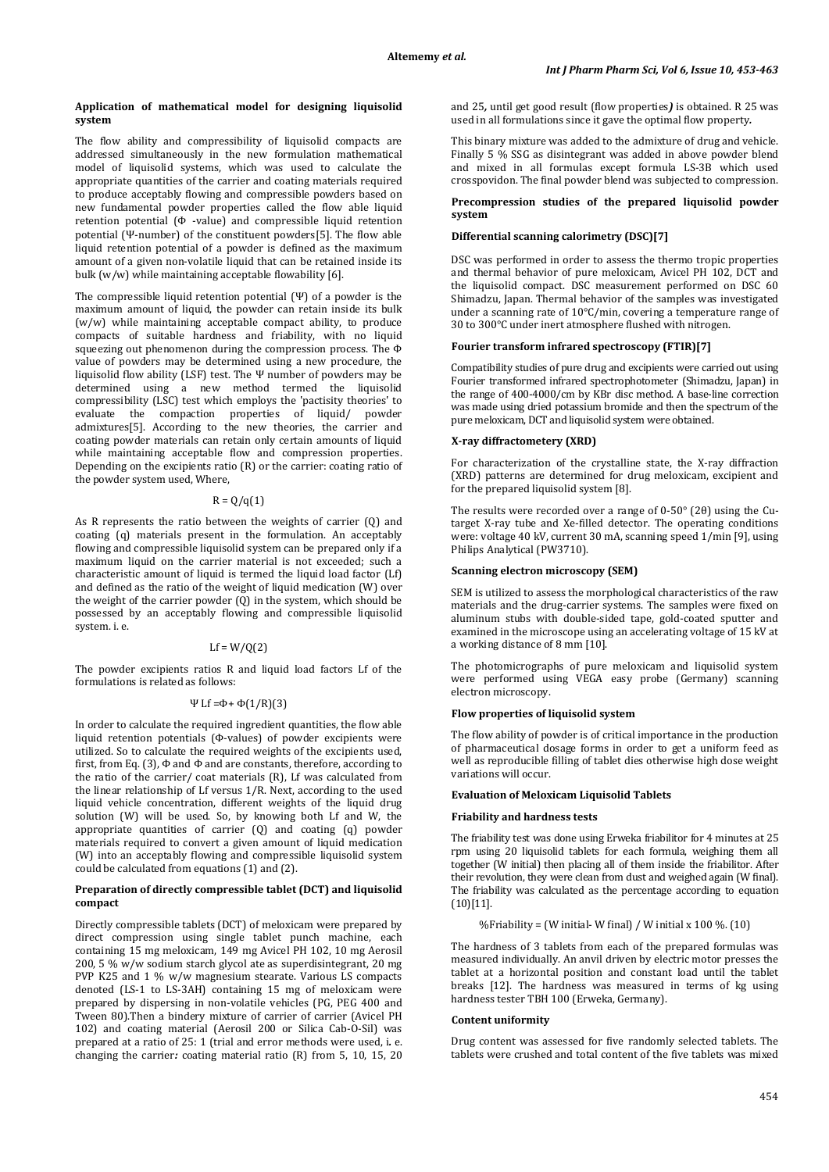## **Application of mathematical model for designing liquisolid system**

The flow ability and compressibility of liquisolid compacts are addressed simultaneously in the new formulation mathematical model of liquisolid systems, which was used to calculate the appropriate quantities of the carrier and coating materials required to produce acceptably flowing and compressible powders based on new fundamental powder properties called the flow able liquid retention potential (Φ -value) and compressible liquid retention potential (Ψ-number) of the constituent powders[5]. The flow able liquid retention potential of a powder is defined as the maximum amount of a given non-volatile liquid that can be retained inside its bulk (w/w) while maintaining acceptable flowability [6].

The compressible liquid retention potential (Ψ) of a powder is the maximum amount of liquid, the powder can retain inside its bulk (w/w) while maintaining acceptable compact ability, to produce compacts of suitable hardness and friability, with no liquid squeezing out phenomenon during the compression process. The Φ value of powders may be determined using a new procedure, the liquisolid flow ability (LSF) test. The Ψ number of powders may be determined using a new method termed the liquisolid compressibility (LSC) test which employs the 'pactisity theories' to evaluate the compaction properties of liquid/ powder admixtures[5]. According to the new theories, the carrier and coating powder materials can retain only certain amounts of liquid while maintaining acceptable flow and compression properties. Depending on the excipients ratio  $(R)$  or the carrier: coating ratio of the powder system used, Where,

# $R = 0/q(1)$

As R represents the ratio between the weights of carrier (Q) and coating (q) materials present in the formulation. An acceptably flowing and compressible liquisolid system can be prepared only if a maximum liquid on the carrier material is not exceeded; such a characteristic amount of liquid is termed the liquid load factor (Lf) and defined as the ratio of the weight of liquid medication (W) over the weight of the carrier powder  $(Q)$  in the system, which should be possessed by an acceptably flowing and compressible liquisolid system. i. e.

# $Lf = W/Q(2)$

The powder excipients ratios R and liquid load factors Lf of the formulations is related as follows:

### Ψ Lf =Φ+ Φ(1/R)(3)

In order to calculate the required ingredient quantities, the flow able liquid retention potentials (Φ-values) of powder excipients were utilized. So to calculate the required weights of the excipients used, first, from Eq. (3),  $\Phi$  and  $\Phi$  and are constants, therefore, according to the ratio of the carrier/ coat materials (R), Lf was calculated from the linear relationship of Lf versus 1/R. Next, according to the used liquid vehicle concentration, different weights of the liquid drug solution (W) will be used. So, by knowing both Lf and W, the appropriate quantities of carrier (Q) and coating (q) powder materials required to convert a given amount of liquid medication (W) into an acceptably flowing and compressible liquisolid system could be calculated from equations (1) and (2).

## **Preparation of directly compressible tablet (DCT) and liquisolid compact**

Directly compressible tablets (DCT) of meloxicam were prepared by direct compression using single tablet punch machine, each containing 15 mg meloxicam, 149 mg Avicel PH 102, 10 mg Aerosil 200, 5 % w/w sodium starch glycol ate as superdisintegrant, 20 mg PVP K25 and 1 % w/w magnesium stearate. Various LS compacts denoted (LS-1 to LS-3AH) containing 15 mg of meloxicam were prepared by dispersing in non-volatile vehicles (PG, PEG 400 and Tween 80).Then a bindery mixture of carrier of carrier (Avicel PH 102) and coating material (Aerosil 200 or Silica Cab-O-Sil) was prepared at a ratio of 25: 1 (trial and error methods were used, i*.* e. changing the carrier*:* coating material ratio (R) from 5, 10, 15, 20

and 25*,* until get good result (flow properties*)* is obtained. R 25 was used in all formulations since it gave the optimal flow property*.*

This binary mixture was added to the admixture of drug and vehicle. Finally 5 % SSG as disintegrant was added in above powder blend and mixed in all formulas except formula LS-3B which used crosspovidon. The final powder blend was subjected to compression.

## **Precompression studies of the prepared liquisolid powder system**

## **Differential scanning calorimetry (DSC)[7]**

DSC was performed in order to assess the thermo tropic properties and thermal behavior of pure meloxicam, Avicel PH 102, DCT and the liquisolid compact. DSC measurement performed on DSC 60 Shimadzu, Japan. Thermal behavior of the samples was investigated under a scanning rate of 10°C/min, covering a temperature range of 30 to 300°C under inert atmosphere flushed with nitrogen.

## **Fourier transform infrared spectroscopy (FTIR)[7]**

Compatibility studies of pure drug and excipients were carried out using Fourier transformed infrared spectrophotometer (Shimadzu, Japan) in the range of 400-4000/cm by KBr disc method. A base-line correction was made using dried potassium bromide and then the spectrum of the pure meloxicam, DCT and liquisolid system were obtained.

# **X-ray diffractometery (XRD)**

For characterization of the crystalline state, the X-ray diffraction (XRD) patterns are determined for drug meloxicam, excipient and for the prepared liquisolid system [8].

The results were recorded over a range of 0-50° (2θ) using the Cutarget X-ray tube and Xe-filled detector. The operating conditions were: voltage 40 kV, current 30 mA, scanning speed 1/min [9], using Philips Analytical (PW3710).

# **Scanning electron microscopy (SEM)**

SEM is utilized to assess the morphological characteristics of the raw materials and the drug-carrier systems. The samples were fixed on aluminum stubs with double-sided tape, gold-coated sputter and examined in the microscope using an accelerating voltage of 15 kV at a working distance of 8 mm [10].

The photomicrographs of pure meloxicam and liquisolid system were performed using VEGA easy probe (Germany) scanning electron microscopy.

### **Flow properties of liquisolid system**

The flow ability of powder is of critical importance in the production of pharmaceutical dosage forms in order to get a uniform feed as well as reproducible filling of tablet dies otherwise high dose weight variations will occur.

#### **Evaluation of Meloxicam Liquisolid Tablets**

## **Friability and hardness tests**

The friability test was done using Erweka friabilitor for 4 minutes at 25 rpm using 20 liquisolid tablets for each formula, weighing them all together (W initial) then placing all of them inside the friabilitor. After their revolution, they were clean from dust and weighed again (W final). The friability was calculated as the percentage according to equation (10)[11].

%Friability = (W initial- W final) / W initial x  $100\%$ . (10)

The hardness of 3 tablets from each of the prepared formulas was measured individually. An anvil driven by electric motor presses the tablet at a horizontal position and constant load until the tablet breaks [12]. The hardness was measured in terms of kg using hardness tester TBH 100 (Erweka, Germany).

### **Content uniformity**

Drug content was assessed for five randomly selected tablets. The tablets were crushed and total content of the five tablets was mixed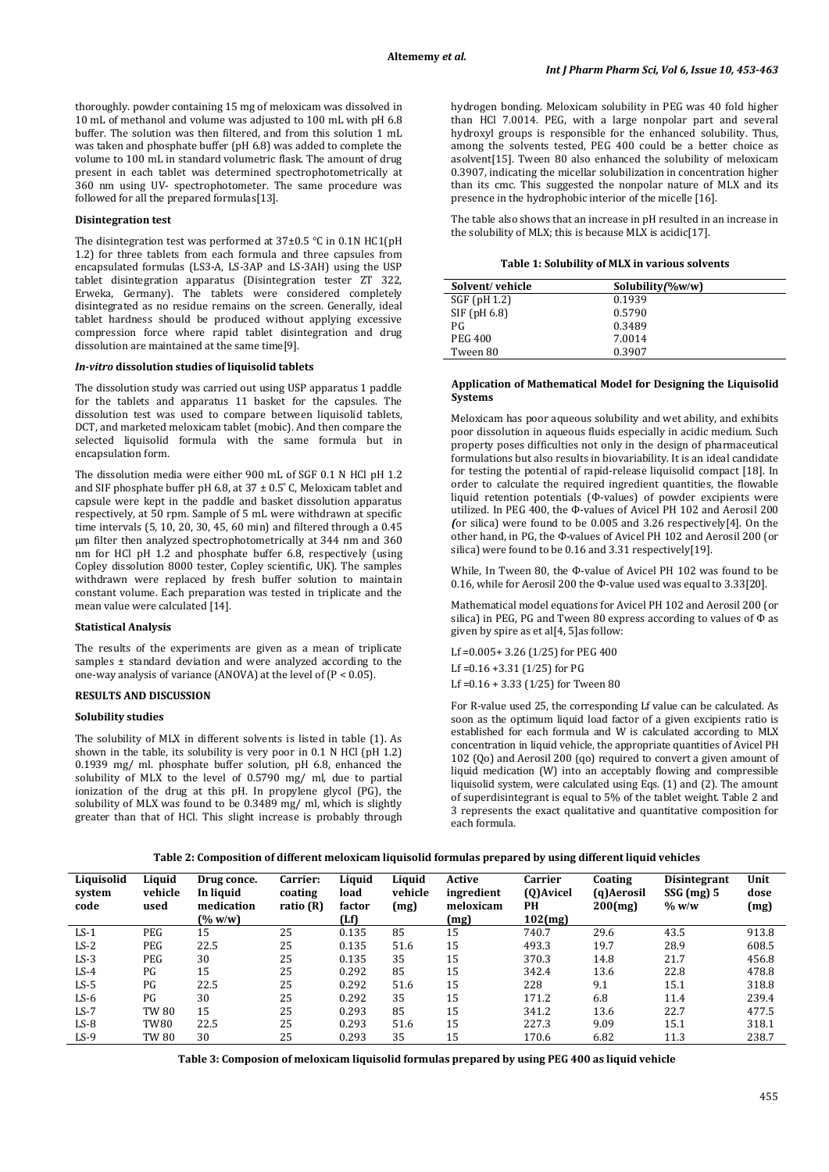thoroughly. powder containing 15 mg of meloxicam was dissolved in 10 mL of methanol and volume was adjusted to 100 mL with pH 6.8 buffer. The solution was then filtered, and from this solution 1 mL was taken and phosphate buffer (pH 6.8) was added to complete the volume to 100 mL in standard volumetric flask. The amount of drug present in each tablet was determined spectrophotometrically at 360 nm using UV- spectrophotometer. The same procedure was followed for all the prepared formulas[13].

# **Disintegration test**

The disintegration test was performed at 37±0.5 °C in 0.1N HC1(pH 1.2) for three tablets from each formula and three capsules from encapsulated formulas (LS3-A, LS-3AP and LS-3AH) using the USP tablet disintegration apparatus (Disintegration tester ZT 322, Erweka, Germany). The tablets were considered completely disintegrated as no residue remains on the screen. Generally, ideal tablet hardness should be produced without applying excessive compression force where rapid tablet disintegration and drug dissolution are maintained at the same time[9].

## *In-vitro* **dissolution studies of liquisolid tablets**

The dissolution study was carried out using USP apparatus 1 paddle for the tablets and apparatus 11 basket for the capsules. The dissolution test was used to compare between liquisolid tablets, DCT, and marketed meloxicam tablet (mobic). And then compare the selected liquisolid formula with the same formula but in encapsulation form.

The dissolution media were either 900 mL of SGF 0.1 N HCl pH 1.2 and SIF phosphate buffer pH 6.8, at  $37 \pm 0.5$ °C, Meloxicam tablet and capsule were kept in the paddle and basket dissolution apparatus respectively, at 50 rpm. Sample of 5 mL were withdrawn at specific time intervals (5, 10, 20, 30, 45, 60 min) and filtered through a 0.45 µm filter then analyzed spectrophotometrically at 344 nm and 360 nm for HCl pH 1.2 and phosphate buffer 6.8, respectively (using Copley dissolution 8000 tester, Copley scientific, UK). The samples withdrawn were replaced by fresh buffer solution to maintain constant volume. Each preparation was tested in triplicate and the mean value were calculated [14].

### **Statistical Analysis**

The results of the experiments are given as a mean of triplicate samples ± standard deviation and were analyzed according to the one-way analysis of variance (ANOVA) at the level of (P < 0.05).

# **RESULTS AND DISCUSSION**

# **Solubility studies**

The solubility of MLX in different solvents is listed in table (1). As shown in the table, its solubility is very poor in 0.1 N HCl (pH 1.2) 0.1939 mg/ ml. phosphate buffer solution, pH 6.8, enhanced the solubility of MLX to the level of 0.5790 mg/ ml, due to partial ionization of the drug at this pH. In propylene glycol (PG), the solubility of MLX was found to be 0.3489 mg/ ml, which is slightly greater than that of HCl. This slight increase is probably through hydrogen bonding. Meloxicam solubility in PEG was 40 fold higher than HCl 7.0014. PEG, with a large nonpolar part and several hydroxyl groups is responsible for the enhanced solubility. Thus, among the solvents tested, PEG 400 could be a better choice as asolvent[15]. Tween 80 also enhanced the solubility of meloxicam 0.3907, indicating the micellar solubilization in concentration higher than its cmc. This suggested the nonpolar nature of MLX and its presence in the hydrophobic interior of the micelle [16].

The table also shows that an increase in pH resulted in an increase in the solubility of MLX; this is because MLX is acidic[17].

| Table 1: Solubility of MLX in various solvents |  |  |
|------------------------------------------------|--|--|
|------------------------------------------------|--|--|

| Solvent/vehicle | Solubility $(\%w/w)$ |  |
|-----------------|----------------------|--|
| SGF (pH 1.2)    | 0.1939               |  |
| SIF (pH 6.8)    | 0.5790               |  |
| PG              | 0.3489               |  |
| PEG 400         | 7.0014               |  |
| Tween 80        | 0.3907               |  |

### **Application of Mathematical Model for Designing the Liquisolid Systems**

Meloxicam has poor aqueous solubility and wet ability, and exhibits poor dissolution in aqueous fluids especially in acidic medium. Such property poses difficulties not only in the design of pharmaceutical formulations but also results in biovariability. It is an ideal candidate for testing the potential of rapid-release liquisolid compact [18]. In order to calculate the required ingredient quantities, the flowable liquid retention potentials (Ф-values) of powder excipients were utilized. In PEG 400, the Ф-values of Avicel PH 102 and Aerosil 200 *(*or silica) were found to be 0.005 and 3.26 respectively[4]. On the other hand, in PG, the Ф-values of Avicel PH 102 and Aerosil 200 (or silica) were found to be 0.16 and 3.31 respectively[19].

While, In Tween 80, the Ф-value of Avicel PH 102 was found to be 0.16, while for Aerosil 200 the Ф-value used was equal to 3.33[20].

Mathematical model equations for Avicel PH 102 and Aerosil 200 (or silica) in PEG, PG and Tween 80 express according to values of Ф as given by spire as et al[4, 5]as follow:

Lf =0.005+ 3.26 (1/25) for PEG 400 Lf =0.16 +3.31 (1/25) for PG Lf =0.16 + 3.33 (1/25) for Tween 80

For R-value used 25, the corresponding Lf value can be calculated. As soon as the optimum liquid load factor of a given excipients ratio is established for each formula and W is calculated according to MLX concentration in liquid vehicle, the appropriate quantities of Avicel PH 102 (Qo) and Aerosil 200 (qo) required to convert a given amount of liquid medication (W) into an acceptably flowing and compressible liquisolid system, were calculated using Eqs. (1) and (2). The amount of superdisintegrant is equal to 5% of the tablet weight. Table 2 and 3 represents the exact qualitative and quantitative composition for each formula.

| Liquisolid<br>system<br>code | Liquid<br>vehicle<br>used | Drug conce.<br>In liquid<br>medication<br>(% w/w) | <b>Carrier:</b><br>coating<br>ratio $(R)$ | Liquid<br>load<br>factor<br>(Lf) | Liquid<br>vehicle<br>(mg) | Active<br>ingredient<br>meloxicam<br>(mg) | Carrier<br>(Q) Avicel<br>PH<br>102(mg) | Coating<br>(q)Aerosil<br>$200$ (mg) | Disintegrant<br>$SSG$ (mg) 5<br>$\%$ w/w | Unit<br>dose<br>(mg) |
|------------------------------|---------------------------|---------------------------------------------------|-------------------------------------------|----------------------------------|---------------------------|-------------------------------------------|----------------------------------------|-------------------------------------|------------------------------------------|----------------------|
| $LS-1$                       | PEG                       | 15                                                | 25                                        | 0.135                            | 85                        | 15                                        | 740.7                                  | 29.6                                | 43.5                                     | 913.8                |
| $LS-2$                       | PEG                       | 22.5                                              | 25                                        | 0.135                            | 51.6                      | 15                                        | 493.3                                  | 19.7                                | 28.9                                     | 608.5                |
| $LS-3$                       | PEG                       | 30                                                | 25                                        | 0.135                            | 35                        | 15                                        | 370.3                                  | 14.8                                | 21.7                                     | 456.8                |
| $LS-4$                       | PG                        | 15                                                | 25                                        | 0.292                            | 85                        | 15                                        | 342.4                                  | 13.6                                | 22.8                                     | 478.8                |
| $LS-5$                       | PG                        | 22.5                                              | 25                                        | 0.292                            | 51.6                      | 15                                        | 228                                    | 9.1                                 | 15.1                                     | 318.8                |
| $LS-6$                       | PG                        | 30                                                | 25                                        | 0.292                            | 35                        | 15                                        | 171.2                                  | 6.8                                 | 11.4                                     | 239.4                |
| $LS-7$                       | <b>TW 80</b>              | 15                                                | 25                                        | 0.293                            | 85                        | 15                                        | 341.2                                  | 13.6                                | 22.7                                     | 477.5                |
| $LS-8$                       | <b>TW80</b>               | 22.5                                              | 25                                        | 0.293                            | 51.6                      | 15                                        | 227.3                                  | 9.09                                | 15.1                                     | 318.1                |
| $LS-9$                       | <b>TW 80</b>              | 30                                                | 25                                        | 0.293                            | 35                        | 15                                        | 170.6                                  | 6.82                                | 11.3                                     | 238.7                |

**Table 3: Composion of meloxicam liquisolid formulas prepared by using PEG 400 as liquid vehicle**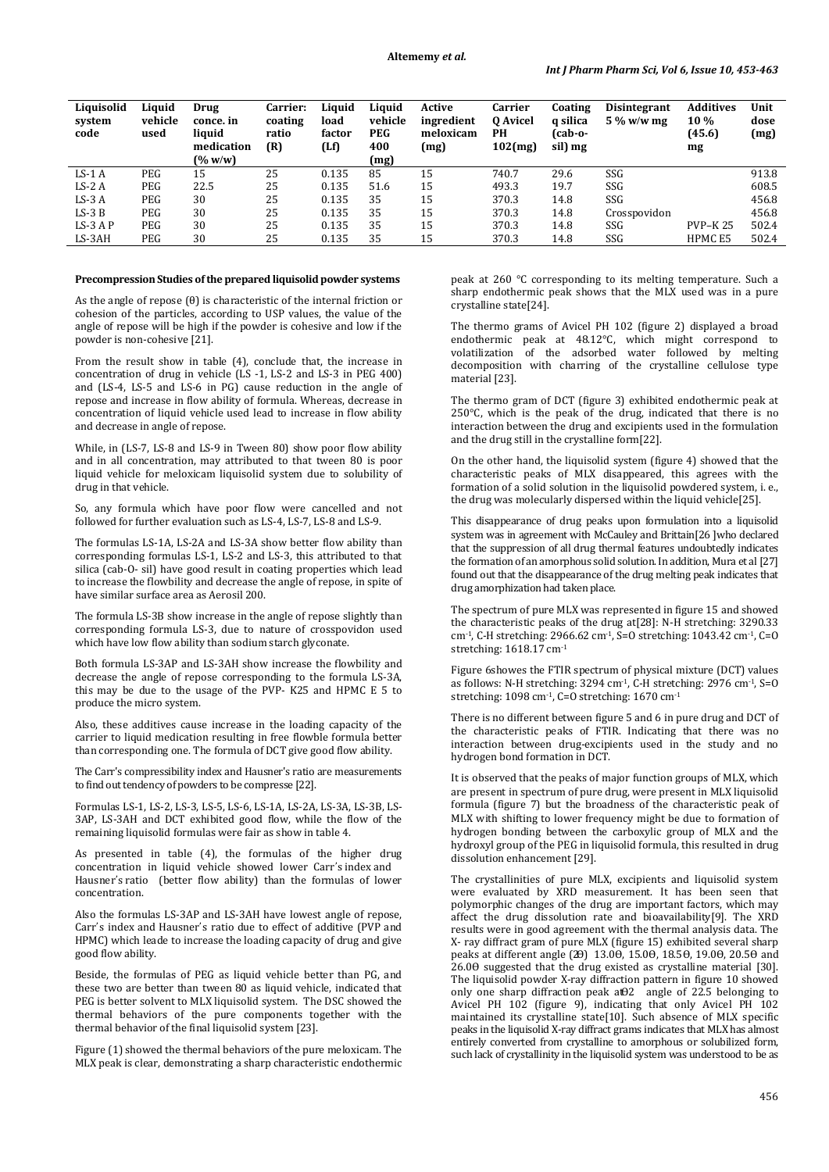| Liquisolid<br>system<br>code | Liauid<br>vehicle<br>used | Drug<br>conce, in<br>liquid<br>medication<br>(% w/w) | <b>Carrier:</b><br>coating<br>ratio<br>(R) | Liauid<br>load<br>factor<br>(Lf) | Liquid<br>vehicle<br><b>PEG</b><br>400<br>(mg) | Active<br>ingredient<br>meloxicam<br>(mg) | Carrier<br>0 Avicel<br><b>PH</b><br>$102$ (mg) | Coating<br>a silica<br>(cab-o-<br>sil) mg | <b>Disintegrant</b><br>$5\%$ w/w mg | <b>Additives</b><br>10 %<br>(45.6)<br>mg | Unit<br>dose<br>(mg) |
|------------------------------|---------------------------|------------------------------------------------------|--------------------------------------------|----------------------------------|------------------------------------------------|-------------------------------------------|------------------------------------------------|-------------------------------------------|-------------------------------------|------------------------------------------|----------------------|
| $LS-1A$                      | PEG                       | 15                                                   | 25                                         | 0.135                            | 85                                             | 15                                        | 740.7                                          | 29.6                                      | SSG                                 |                                          | 913.8                |
| $LS-2A$                      | PEG                       | 22.5                                                 | 25                                         | 0.135                            | 51.6                                           | 15                                        | 493.3                                          | 19.7                                      | SSG                                 |                                          | 608.5                |
| $LS-3A$                      | PEG                       | 30                                                   | 25                                         | 0.135                            | 35                                             | 15                                        | 370.3                                          | 14.8                                      | SSG                                 |                                          | 456.8                |
| $LS-3B$                      | PEG                       | 30                                                   | 25                                         | 0.135                            | 35                                             | 15                                        | 370.3                                          | 14.8                                      | Crosspovidon                        |                                          | 456.8                |
| $LS-3AP$                     | PEG                       | 30                                                   | 25                                         | 0.135                            | 35                                             | 15                                        | 370.3                                          | 14.8                                      | SSG                                 | <b>PVP-K25</b>                           | 502.4                |
| LS-3AH                       | PEG                       | 30                                                   | 25                                         | 0.135                            | 35                                             | 15                                        | 370.3                                          | 14.8                                      | SSG                                 | HPMC <sub>E5</sub>                       | 502.4                |

### **Precompression Studies of the prepared liquisolid powder systems**

As the angle of repose (θ) is characteristic of the internal friction or cohesion of the particles, according to USP values, the value of the angle of repose will be high if the powder is cohesive and low if the powder is non-cohesive [21].

From the result show in table (4), conclude that, the increase in concentration of drug in vehicle (LS -1, LS-2 and LS-3 in PEG 400) and (LS-4, LS-5 and LS-6 in PG) cause reduction in the angle of repose and increase in flow ability of formula. Whereas, decrease in concentration of liquid vehicle used lead to increase in flow ability and decrease in angle of repose.

While, in (LS-7, LS-8 and LS-9 in Tween 80) show poor flow ability and in all concentration, may attributed to that tween 80 is poor liquid vehicle for meloxicam liquisolid system due to solubility of drug in that vehicle.

So, any formula which have poor flow were cancelled and not followed for further evaluation such as LS-4, LS-7, LS-8 and LS-9.

The formulas LS-1A, LS-2A and LS-3A show better flow ability than corresponding formulas LS-1, LS-2 and LS-3, this attributed to that silica (cab-O- sil) have good result in coating properties which lead to increase the flowbility and decrease the angle of repose, in spite of have similar surface area as Aerosil 200.

The formula LS-3B show increase in the angle of repose slightly than corresponding formula LS-3, due to nature of crosspovidon used which have low flow ability than sodium starch glyconate.

Both formula LS-3AP and LS-3AH show increase the flowbility and decrease the angle of repose corresponding to the formula LS-3A, this may be due to the usage of the PVP- K25 and HPMC E 5 to produce the micro system.

Also, these additives cause increase in the loading capacity of the carrier to liquid medication resulting in free flowble formula better than corresponding one. The formula of DCT give good flow ability.

The Carr's compressibility index and Hausner's ratio are measurements to find out tendency of powders to be compresse [22].

Formulas LS-1, LS-2, LS-3, LS-5, LS-6, LS-1A, LS-2A, LS-3A, LS-3B, LS-3AP, LS-3AH and DCT exhibited good flow, while the flow of the remaining liquisolid formulas were fair as show in table 4.

As presented in table (4), the formulas of the higher drug concentration in liquid vehicle showed lower Carr's index and Hausner's ratio (better flow ability) than the formulas of lower concentration.

Also the formulas LS-3AP and LS-3AH have lowest angle of repose, Carr's index and Hausner's ratio due to effect of additive (PVP and HPMC) which leade to increase the loading capacity of drug and give good flow ability.

Beside, the formulas of PEG as liquid vehicle better than PG, and these two are better than tween 80 as liquid vehicle, indicated that PEG is better solvent to MLX liquisolid system. The DSC showed the thermal behaviors of the pure components together with the thermal behavior of the final liquisolid system [23].

Figure (1) showed the thermal behaviors of the pure meloxicam. The MLX peak is clear, demonstrating a sharp characteristic endothermic

peak at 260 °C corresponding to its melting temperature. Such a sharp endothermic peak shows that the MLX used was in a pure crystalline state[24].

The thermo grams of Avicel PH 102 (figure 2) displayed a broad endothermic peak at 48.12°C, which might correspond to volatilization of the adsorbed water followed by melting decomposition with charring of the crystalline cellulose type material [23].

The thermo gram of DCT (figure 3) exhibited endothermic peak at 250°C, which is the peak of the drug, indicated that there is no interaction between the drug and excipients used in the formulation and the drug still in the crystalline form[22].

On the other hand, the liquisolid system (figure 4) showed that the characteristic peaks of MLX disappeared, this agrees with the formation of a solid solution in the liquisolid powdered system, i. e., the drug was molecularly dispersed within the liquid vehicle[25].

This disappearance of drug peaks upon formulation into a liquisolid system was in agreement with McCauley and Brittain[26 ]who declared that the suppression of all drug thermal features undoubtedly indicates the formation of an amorphous solid solution. In addition, Mura et al [27] found out that the disappearance of the drug melting peak indicates that drug amorphization had taken place.

The spectrum of pure MLX was represented in figure 15 and showed the characteristic peaks of the drug at[28]: N-H stretching: 3290.33 cm<sup>-1</sup>, C-H stretching: 2966.62 cm<sup>-1</sup>, S=O stretching: 1043.42 cm<sup>-1</sup>, C=O stretching: 1618.17 cm*<sup>P</sup>* -1

Figure 6showes the FTIR spectrum of physical mixture (DCT) values as follows: N-H stretching: 3294 cm<sup>-1</sup>, C-H stretching: 2976 cm<sup>-1</sup>, S=O stretching: 1098 cm*<sup>P</sup>* -1*P*, C=O stretching: 1670 cm*<sup>P</sup>* -1

There is no different between figure 5 and 6 in pure drug and DCT of the characteristic peaks of FTIR. Indicating that there was no interaction between drug-excipients used in the study and no hydrogen bond formation in DCT.

It is observed that the peaks of major function groups of MLX, which are present in spectrum of pure drug, were present in MLX liquisolid formula (figure 7) but the broadness of the characteristic peak of MLX with shifting to lower frequency might be due to formation of hydrogen bonding between the carboxylic group of MLX and the hydroxyl group of the PEG in liquisolid formula, this resulted in drug dissolution enhancement [29].

The crystallinities of pure MLX, excipients and liquisolid system were evaluated by XRD measurement. It has been seen that polymorphic changes of the drug are important factors, which may affect the drug dissolution rate and bioavailability[9]. The XRD results were in good agreement with the thermal analysis data. The X- ray diffract gram of pure MLX (figure 15) exhibited several sharp peaks at different angle (20) 13.00, 15.00, 18.50, 19.00, 20.50 and  $26.0\theta$  suggested that the drug existed as crystalline material [30]. The liquisolid powder X-ray diffraction pattern in figure 10 showed only one sharp diffraction peak at  $\theta$ 2 angle of 22.5 belonging to Avicel PH 102 (figure 9), indicating that only Avicel PH 102 maintained its crystalline state[10]. Such absence of MLX specific peaks in the liquisolid X-ray diffract grams indicates that MLX has almost entirely converted from crystalline to amorphous or solubilized form, such lack of crystallinity in the liquisolid system was understood to be as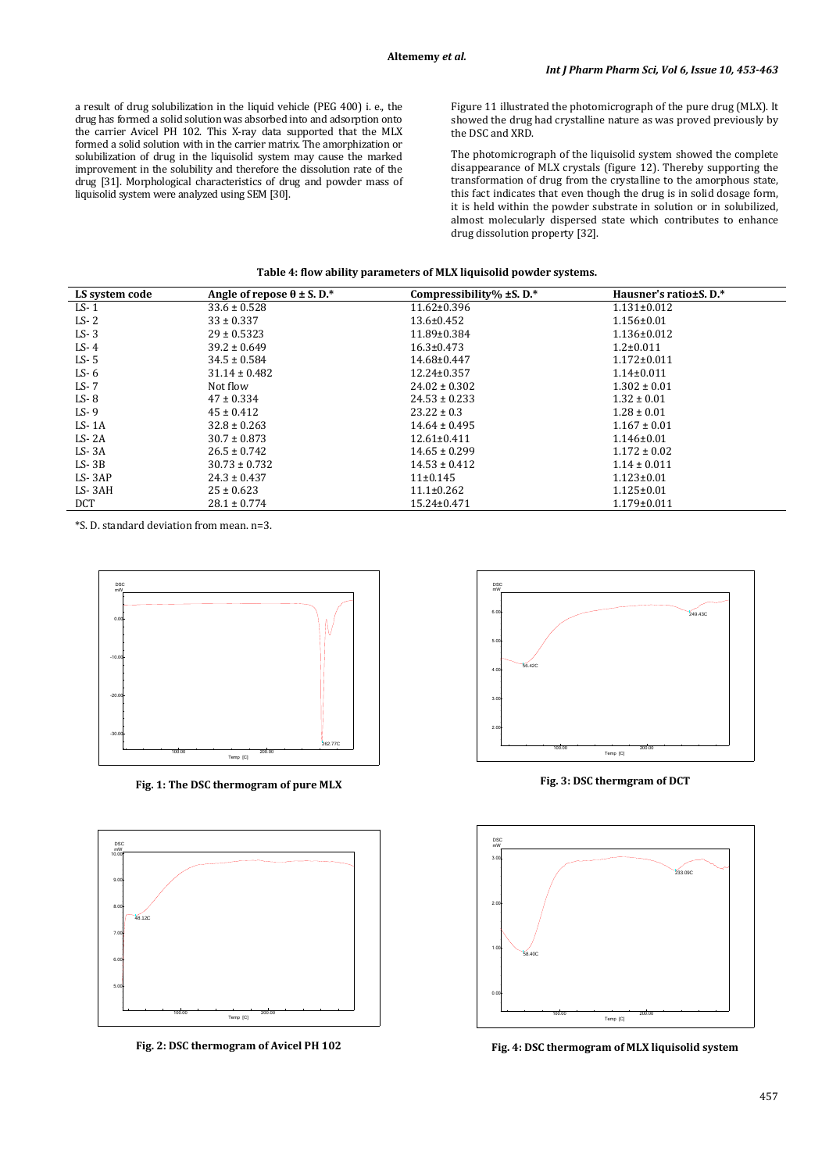a result of drug solubilization in the liquid vehicle (PEG 400) i. e., the drug has formed a solid solution was absorbed into and adsorption onto the carrier Avicel PH 102. This X-ray data supported that the MLX formed a solid solution with in the carrier matrix. The amorphization or solubilization of drug in the liquisolid system may cause the marked improvement in the solubility and therefore the dissolution rate of the drug [31]. Morphological characteristics of drug and powder mass of liquisolid system were analyzed using SEM [30].

Figure 11 illustrated the photomicrograph of the pure drug (MLX). It showed the drug had crystalline nature as was proved previously by the DSC and XRD.

The photomicrograph of the liquisolid system showed the complete disappearance of MLX crystals (figure 12). Thereby supporting the transformation of drug from the crystalline to the amorphous state, this fact indicates that even though the drug is in solid dosage form, it is held within the powder substrate in solution or in solubilized, almost molecularly dispersed state which contributes to enhance drug dissolution property [32].

| LS system code | Angle of repose $\theta \pm S$ . D.* | Compressibility% $\pm$ S.D.* | Hausner's ratio±S. D.* |
|----------------|--------------------------------------|------------------------------|------------------------|
| $LS-1$         | $33.6 \pm 0.528$                     | $11.62 \pm 0.396$            | $1.131 \pm 0.012$      |
| $LS - 2$       | $33 \pm 0.337$                       | $13.6 \pm 0.452$             | $1.156 \pm 0.01$       |
| $LS-3$         | $29 \pm 0.5323$                      | $11.89 \pm 0.384$            | $1.136 \pm 0.012$      |
| $LS-4$         | $39.2 \pm 0.649$                     | $16.3 \pm 0.473$             | $1.2 \pm 0.011$        |
| $LS - 5$       | $34.5 \pm 0.584$                     | 14.68±0.447                  | $1.172 \pm 0.011$      |
| $LS - 6$       | $31.14 \pm 0.482$                    | 12.24±0.357                  | $1.14 \pm 0.011$       |
| $LS - 7$       | Not flow                             | $24.02 \pm 0.302$            | $1.302 \pm 0.01$       |
| $LS - 8$       | $47 \pm 0.334$                       | $24.53 \pm 0.233$            | $1.32 \pm 0.01$        |
| $LS-9$         | $45 \pm 0.412$                       | $23.22 \pm 0.3$              | $1.28 \pm 0.01$        |
| $LS-1A$        | $32.8 \pm 0.263$                     | $14.64 \pm 0.495$            | $1.167 \pm 0.01$       |
| $LS - 2A$      | $30.7 \pm 0.873$                     | $12.61 \pm 0.411$            | $1.146 \pm 0.01$       |
| $LS - 3A$      | $26.5 \pm 0.742$                     | $14.65 \pm 0.299$            | $1.172 \pm 0.02$       |
| $LS-3B$        | $30.73 \pm 0.732$                    | $14.53 \pm 0.412$            | $1.14 \pm 0.011$       |
| $LS - 3AP$     | $24.3 \pm 0.437$                     | $11\pm0.145$                 | $1.123 \pm 0.01$       |
| LS-3AH         | $25 \pm 0.623$                       | $11.1 \pm 0.262$             | $1.125 \pm 0.01$       |
| <b>DCT</b>     | $28.1 \pm 0.774$                     | 15.24±0.471                  | $1.179 \pm 0.011$      |

\*S. D. standard deviation from mean. n=3.



**Fig. 1: The DSC thermogram of pure MLX**



**Fig. 2: DSC thermogram of Avicel PH 102**



**Fig. 3: DSC thermgram of DCT**



**Fig. 4: DSC thermogram of MLX liquisolid system**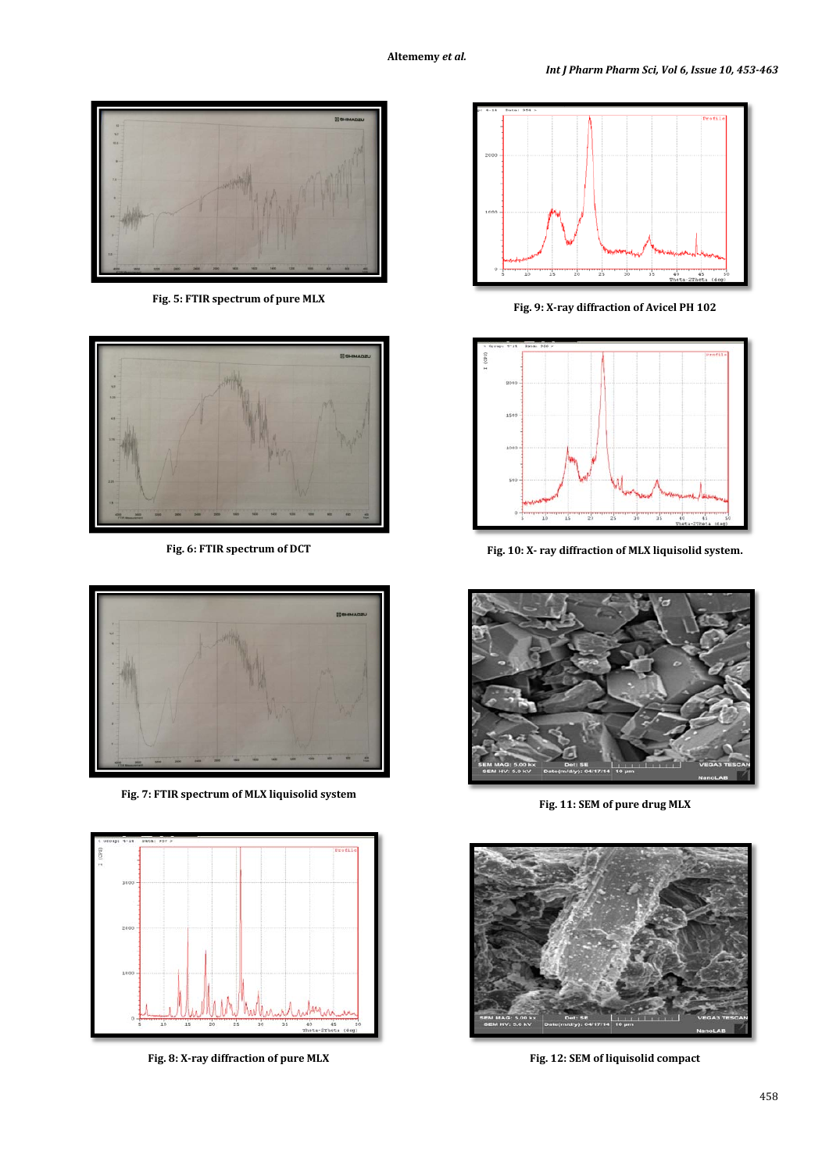

**Fig. 5: FTIR spectrum of pure MLX**



**Fig. 6: FTIR spectrum of DCT**



**Fig. 7: FTIR spectrum of MLX liquisolid system**



**Fig. 8: X-ray diffraction of pure MLX**



**Fig. 9: X-ray diffraction of Avicel PH 102**



**Fig. 10: X- ray diffraction of MLX liquisolid system.**



**Fig. 11: SEM of pure drug MLX**



**Fig. 12: SEM of liquisolid compact**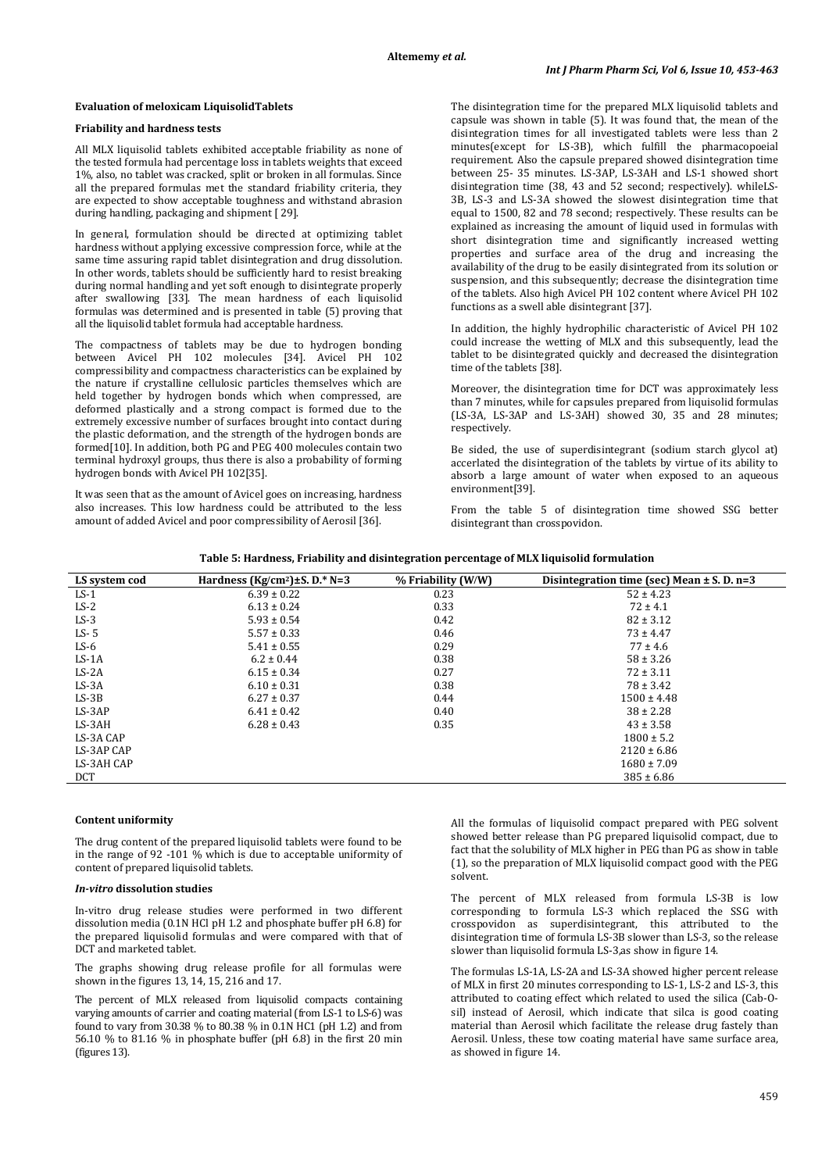### **Evaluation of meloxicam LiquisolidTablets**

# **Friability and hardness tests**

All MLX liquisolid tablets exhibited acceptable friability as none of the tested formula had percentage loss in tablets weights that exceed 1%, also, no tablet was cracked, split or broken in all formulas. Since all the prepared formulas met the standard friability criteria, they are expected to show acceptable toughness and withstand abrasion during handling, packaging and shipment [ 29].

In general, formulation should be directed at optimizing tablet hardness without applying excessive compression force, while at the same time assuring rapid tablet disintegration and drug dissolution. In other words, tablets should be sufficiently hard to resist breaking during normal handling and yet soft enough to disintegrate properly after swallowing [33]. The mean hardness of each liquisolid formulas was determined and is presented in table (5) proving that all the liquisolid tablet formula had acceptable hardness.

The compactness of tablets may be due to hydrogen bonding between Avicel PH 102 molecules [34]. Avicel PH 102 compressibility and compactness characteristics can be explained by the nature if crystalline cellulosic particles themselves which are held together by hydrogen bonds which when compressed, are deformed plastically and a strong compact is formed due to the extremely excessive number of surfaces brought into contact during the plastic deformation, and the strength of the hydrogen bonds are formed[10]. In addition, both PG and PEG 400 molecules contain two terminal hydroxyl groups, thus there is also a probability of forming hydrogen bonds with Avicel PH 102[35].

It was seen that as the amount of Avicel goes on increasing, hardness also increases. This low hardness could be attributed to the less amount of added Avicel and poor compressibility of Aerosil [36].

The disintegration time for the prepared MLX liquisolid tablets and capsule was shown in table (5). It was found that, the mean of the disintegration times for all investigated tablets were less than 2 minutes(except for LS-3B), which fulfill the pharmacopoeial requirement. Also the capsule prepared showed disintegration time between 25- 35 minutes. LS-3AP, LS-3AH and LS-1 showed short disintegration time (38, 43 and 52 second; respectively). whileLS-3B, LS-3 and LS-3A showed the slowest disintegration time that equal to 1500, 82 and 78 second; respectively. These results can be explained as increasing the amount of liquid used in formulas with short disintegration time and significantly increased wetting properties and surface area of the drug and increasing the availability of the drug to be easily disintegrated from its solution or suspension, and this subsequently; decrease the disintegration time of the tablets. Also high Avicel PH 102 content where Avicel PH 102 functions as a swell able disintegrant [37].

In addition, the highly hydrophilic characteristic of Avicel PH 102 could increase the wetting of MLX and this subsequently, lead the tablet to be disintegrated quickly and decreased the disintegration time of the tablets [38].

Moreover, the disintegration time for DCT was approximately less than 7 minutes, while for capsules prepared from liquisolid formulas (LS-3A, LS-3AP and LS-3AH) showed 30, 35 and 28 minutes; respectively.

Be sided, the use of superdisintegrant (sodium starch glycol at) accerlated the disintegration of the tablets by virtue of its ability to absorb a large amount of water when exposed to an aqueous environment[39].

From the table 5 of disintegration time showed SSG better disintegrant than crosspovidon.

|  |  |  |  |  | Table 5: Hardness, Friability and disintegration percentage of MLX liquisolid formulation |
|--|--|--|--|--|-------------------------------------------------------------------------------------------|
|--|--|--|--|--|-------------------------------------------------------------------------------------------|

| LS system cod | Hardness ( $Kg/cm^2$ ) $\pm$ S. D.* N=3 | % Friability (W/W) | Disintegration time (sec) Mean $\pm$ S. D. n=3 |
|---------------|-----------------------------------------|--------------------|------------------------------------------------|
| $LS-1$        | $6.39 \pm 0.22$                         | 0.23               | $52 \pm 4.23$                                  |
| $LS-2$        | $6.13 \pm 0.24$                         | 0.33               | $72 \pm 4.1$                                   |
| $LS-3$        | $5.93 \pm 0.54$                         | 0.42               | $82 \pm 3.12$                                  |
| $LS - 5$      | $5.57 \pm 0.33$                         | 0.46               | $73 \pm 4.47$                                  |
| $LS-6$        | $5.41 \pm 0.55$                         | 0.29               | $77 \pm 4.6$                                   |
| $LS-1A$       | $6.2 \pm 0.44$                          | 0.38               | $58 \pm 3.26$                                  |
| $LS-2A$       | $6.15 \pm 0.34$                         | 0.27               | $72 \pm 3.11$                                  |
| $LS - 3A$     | $6.10 \pm 0.31$                         | 0.38               | $78 \pm 3.42$                                  |
| $LS-3B$       | $6.27 \pm 0.37$                         | 0.44               | $1500 \pm 4.48$                                |
| $LS-3AP$      | $6.41 \pm 0.42$                         | 0.40               | $38 \pm 2.28$                                  |
| LS-3AH        | $6.28 \pm 0.43$                         | 0.35               | $43 \pm 3.58$                                  |
| LS-3A CAP     |                                         |                    | $1800 \pm 5.2$                                 |
| LS-3AP CAP    |                                         |                    | $2120 \pm 6.86$                                |
| LS-3AH CAP    |                                         |                    | $1680 \pm 7.09$                                |
| <b>DCT</b>    |                                         |                    | $385 \pm 6.86$                                 |

#### **Content uniformity**

The drug content of the prepared liquisolid tablets were found to be in the range of 92 -101 % which is due to acceptable uniformity of content of prepared liquisolid tablets.

## *In-vitro* **dissolution studies**

In-vitro drug release studies were performed in two different dissolution media (0.1N HCl pH 1.2 and phosphate buffer pH 6.8) for the prepared liquisolid formulas and were compared with that of DCT and marketed tablet.

The graphs showing drug release profile for all formulas were shown in the figures 13, 14, 15, 216 and 17.

The percent of MLX released from liquisolid compacts containing varying amounts of carrier and coating material (from LS-1 to LS-6) was found to vary from 30.38 % to 80.38 % in 0.1N HC1 (pH 1.2) and from 56.10 % to 81.16 % in phosphate buffer (pH 6.8) in the first 20 min (figures 13).

All the formulas of liquisolid compact prepared with PEG solvent showed better release than PG prepared liquisolid compact, due to fact that the solubility of MLX higher in PEG than PG as show in table (1), so the preparation of MLX liquisolid compact good with the PEG solvent.

The percent of MLX released from formula LS-3B is low corresponding to formula LS-3 which replaced the SSG with crosspovidon as superdisintegrant, this attributed to the disintegration time of formula LS-3B slower than LS-3, so the release slower than liquisolid formula LS-3,as show in figure 14.

The formulas LS-1A, LS-2A and LS-3A showed higher percent release of MLX in first 20 minutes corresponding to LS-1, LS-2 and LS-3, this attributed to coating effect which related to used the silica (Cab-Osil) instead of Aerosil, which indicate that silca is good coating material than Aerosil which facilitate the release drug fastely than Aerosil. Unless, these tow coating material have same surface area, as showed in figure 14.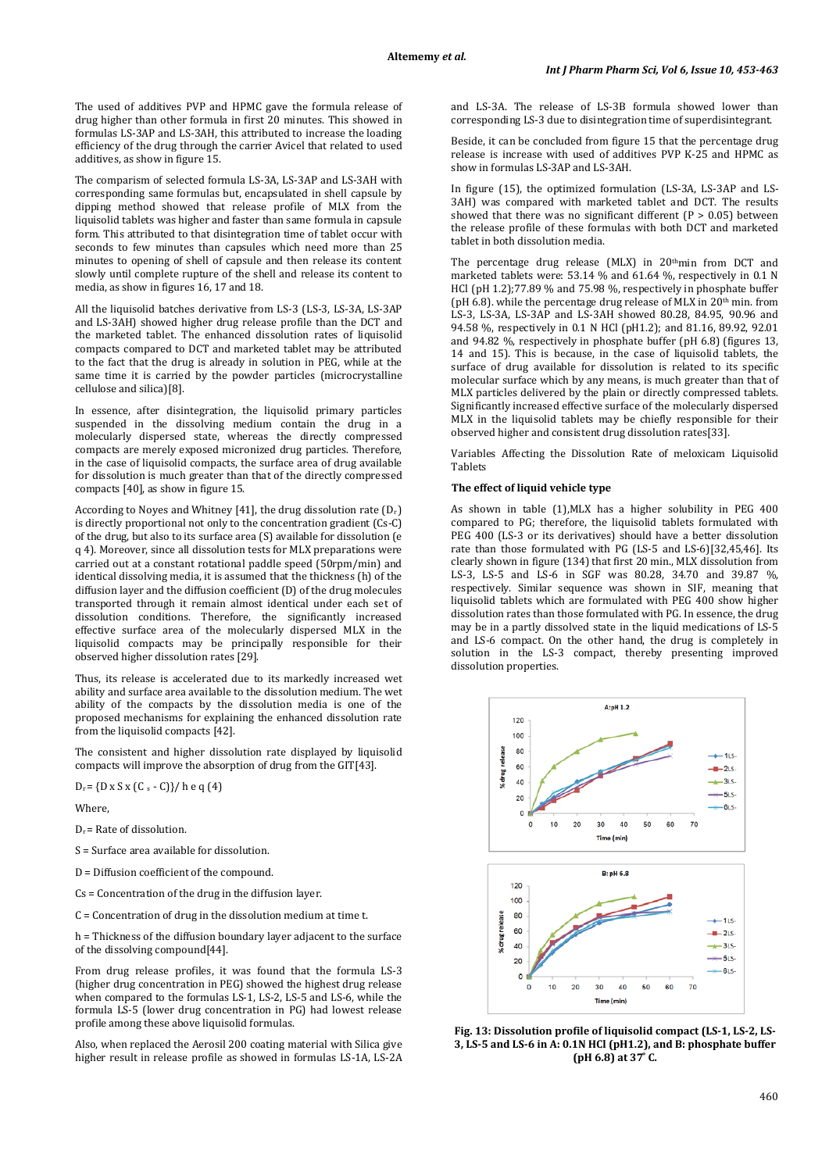The used of additives PVP and HPMC gave the formula release of drug higher than other formula in first 20 minutes. This showed in formulas LS-3AP and LS-3AH, this attributed to increase the loading efficiency of the drug through the carrier Avicel that related to used additives, as show in figure 15.

The comparism of selected formula LS-3A, LS-3AP and LS-3AH with corresponding same formulas but, encapsulated in shell capsule by dipping method showed that release profile of MLX from the liquisolid tablets was higher and faster than same formula in capsule form. This attributed to that disintegration time of tablet occur with seconds to few minutes than capsules which need more than 25 minutes to opening of shell of capsule and then release its content slowly until complete rupture of the shell and release its content to media, as show in figures 16, 17 and 18.

All the liquisolid batches derivative from LS-3 (LS-3, LS-3A, LS-3AP and LS-3AH) showed higher drug release profile than the DCT and the marketed tablet. The enhanced dissolution rates of liquisolid compacts compared to DCT and marketed tablet may be attributed to the fact that the drug is already in solution in PEG, while at the same time it is carried by the powder particles (microcrystalline cellulose and silica)[8].

In essence, after disintegration, the liquisolid primary particles suspended in the dissolving medium contain the drug in a molecularly dispersed state, whereas the directly compressed compacts are merely exposed micronized drug particles. Therefore, in the case of liquisolid compacts, the surface area of drug available for dissolution is much greater than that of the directly compressed compacts [40], as show in figure 15.

According to Noyes and Whitney [41], the drug dissolution rate (Dr ) is directly proportional not only to the concentration gradient (Cs-C) of the drug, but also to its surface area (S) available for dissolution (e q 4). Moreover, since all dissolution tests for MLX preparations were carried out at a constant rotational paddle speed (50rpm/min) and identical dissolving media, it is assumed that the thickness (h) of the diffusion layer and the diffusion coefficient (D) of the drug molecules transported through it remain almost identical under each set of dissolution conditions. Therefore, the significantly increased effective surface area of the molecularly dispersed MLX in the liquisolid compacts may be principally responsible for their observed higher dissolution rates [29].

Thus, its release is accelerated due to its markedly increased wet ability and surface area available to the dissolution medium. The wet ability of the compacts by the dissolution media is one of the proposed mechanisms for explaining the enhanced dissolution rate from the liquisolid compacts [42].

The consistent and higher dissolution rate displayed by liquisolid compacts will improve the absorption of drug from the GIT[43].

 $D_r = \{ D \times S \times (C_s - C) \} / \hbox{h} e q (4)$ 

Where,

 $D<sub>r</sub>$  = Rate of dissolution.

S = Surface area available for dissolution.

D = Diffusion coefficient of the compound.

Cs = Concentration of the drug in the diffusion layer.

C = Concentration of drug in the dissolution medium at time t.

h = Thickness of the diffusion boundary layer adjacent to the surface of the dissolving compound[44].

From drug release profiles, it was found that the formula LS-3 (higher drug concentration in PEG) showed the highest drug release when compared to the formulas LS-1, LS-2, LS-5 and LS-6, while the formula LS-5 (lower drug concentration in PG) had lowest release profile among these above liquisolid formulas.

Also, when replaced the Aerosil 200 coating material with Silica give higher result in release profile as showed in formulas LS-1A, LS-2A

and LS-3A. The release of LS-3B formula showed lower than corresponding LS-3 due to disintegration time of superdisintegrant.

Beside, it can be concluded from figure 15 that the percentage drug release is increase with used of additives PVP K-25 and HPMC as show in formulas LS-3AP and LS-3AH.

In figure (15), the optimized formulation (LS-3A, LS-3AP and LS-3AH) was compared with marketed tablet and DCT. The results showed that there was no significant different  $(P > 0.05)$  between the release profile of these formulas with both DCT and marketed tablet in both dissolution media.

The percentage drug release (MLX) in  $20<sup>th</sup>$ min from DCT and marketed tablets were: 53.14 % and 61.64 %, respectively in 0.1 N HCl (pH 1.2);77.89 % and 75.98 %, respectively in phosphate buffer ( $pH$  6.8). while the percentage drug release of MLX in  $20<sup>th</sup>$  min. from LS-3, LS-3A, LS-3AP and LS-3AH showed 80.28, 84.95, 90.96 and 94.58 %, respectively in 0.1 N HCl (pH1.2); and 81.16, 89.92, 92.01 and 94.82 %, respectively in phosphate buffer (pH 6.8) (figures 13, 14 and 15). This is because, in the case of liquisolid tablets, the surface of drug available for dissolution is related to its specific molecular surface which by any means, is much greater than that of MLX particles delivered by the plain or directly compressed tablets. Significantly increased effective surface of the molecularly dispersed MLX in the liquisolid tablets may be chiefly responsible for their observed higher and consistent drug dissolution rates[33].

Variables Affecting the Dissolution Rate of meloxicam Liquisolid Tablets

## **The effect of liquid vehicle type**

As shown in table (1),MLX has a higher solubility in PEG 400 compared to PG; therefore, the liquisolid tablets formulated with PEG 400 (LS-3 or its derivatives) should have a better dissolution rate than those formulated with PG (LS-5 and LS-6)[32,45,46]. Its clearly shown in figure (134) that first 20 min., MLX dissolution from LS-3, LS-5 and LS-6 in SGF was 80.28, 34.70 and 39.87 %, respectively. Similar sequence was shown in SIF, meaning that liquisolid tablets which are formulated with PEG 400 show higher dissolution rates than those formulated with PG. In essence, the drug may be in a partly dissolved state in the liquid medications of LS-5 and LS-6 compact. On the other hand, the drug is completely in solution in the LS-3 compact, thereby presenting improved dissolution properties.



**Fig. 13: Dissolution profile of liquisolid compact (LS-1, LS-2, LS-3, LS-5 and LS-6 in A: 0.1N HCl (pH1.2), and B: phosphate buffer (pH 6.8) at 37 ͦC.**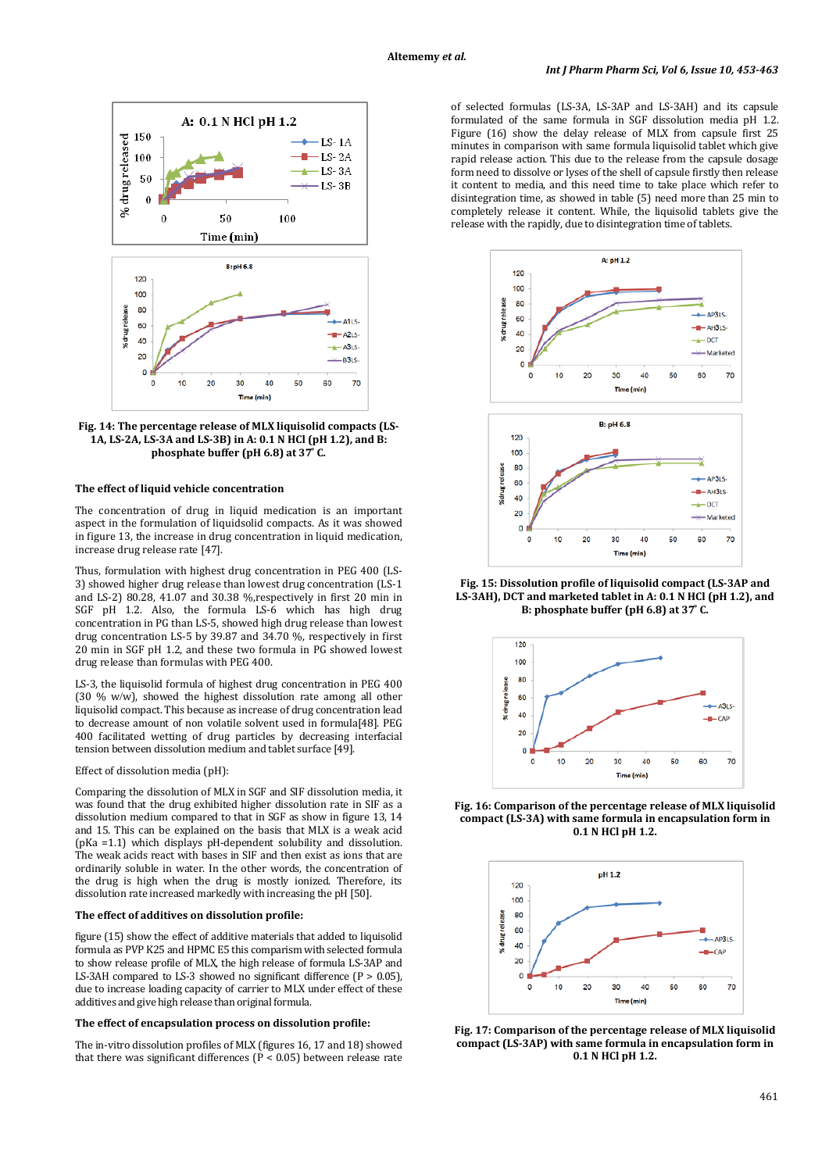

**Fig. 14: The percentage release of MLX liquisolid compacts (LS-1A, LS-2A, LS-3A and LS-3B) in A: 0.1 N HCl (pH 1.2), and B: phosphate buffer (pH 6.8) at**  $37^\circ$  **C.** 

## **The effect of liquid vehicle concentration**

The concentration of drug in liquid medication is an important aspect in the formulation of liquidsolid compacts. As it was showed in figure 13, the increase in drug concentration in liquid medication, increase drug release rate [47].

Thus, formulation with highest drug concentration in PEG 400 (LS-3) showed higher drug release than lowest drug concentration (LS-1 and LS-2) 80.28, 41.07 and 30.38 %,respectively in first 20 min in SGF pH 1.2. Also, the formula LS-6 which has high drug concentration in PG than LS-5, showed high drug release than lowest drug concentration LS-5 by 39.87 and 34.70 %, respectively in first 20 min in SGF pH 1.2, and these two formula in PG showed lowest drug release than formulas with PEG 400.

LS-3, the liquisolid formula of highest drug concentration in PEG 400 (30 % w/w), showed the highest dissolution rate among all other liquisolid compact. This because as increase of drug concentration lead to decrease amount of non volatile solvent used in formula[48]. PEG 400 facilitated wetting of drug particles by decreasing interfacial tension between dissolution medium and tablet surface [49].

# Effect of dissolution media (pH):

Comparing the dissolution of MLX in SGF and SIF dissolution media, it was found that the drug exhibited higher dissolution rate in SIF as a dissolution medium compared to that in SGF as show in figure 13, 14 and 15. This can be explained on the basis that MLX is a weak acid (pKa =1.1) which displays pH-dependent solubility and dissolution. The weak acids react with bases in SIF and then exist as ions that are ordinarily soluble in water. In the other words, the concentration of the drug is high when the drug is mostly ionized. Therefore, its dissolution rate increased markedly with increasing the pH [50].

### **The effect of additives on dissolution profile:**

figure (15) show the effect of additive materials that added to liquisolid formula as PVP K25 and HPMC E5 this comparism with selected formula to show release profile of MLX, the high release of formula LS-3AP and LS-3AH compared to LS-3 showed no significant difference ( $P > 0.05$ ), due to increase loading capacity of carrier to MLX under effect of these additives and give high release than original formula.

### **The effect of encapsulation process on dissolution profile:**

The in-vitro dissolution profiles of MLX (figures 16, 17 and 18) showed that there was significant differences ( $P < 0.05$ ) between release rate

of selected formulas (LS-3A, LS-3AP and LS-3AH) and its capsule formulated of the same formula in SGF dissolution media pH 1.2. Figure (16) show the delay release of MLX from capsule first 25 minutes in comparison with same formula liquisolid tablet which give rapid release action. This due to the release from the capsule dosage form need to dissolve or lyses of the shell of capsule firstly then release it content to media, and this need time to take place which refer to disintegration time, as showed in table (5) need more than 25 min to completely release it content. While, the liquisolid tablets give the release with the rapidly, due to disintegration time of tablets.



**Fig. 15: Dissolution profile of liquisolid compact (LS-3AP and LS-3AH), DCT and marketed tablet in A: 0.1 N HCl (pH 1.2), and B: phosphate buffer (pH 6.8) at 37 ͦC.**



**Fig. 16: Comparison of the percentage release of MLX liquisolid compact (LS-3A) with same formula in encapsulation form in 0.1 N HCl pH 1.2.**



**Fig. 17: Comparison of the percentage release of MLX liquisolid compact (LS-3AP) with same formula in encapsulation form in 0.1 N HCl pH 1.2.**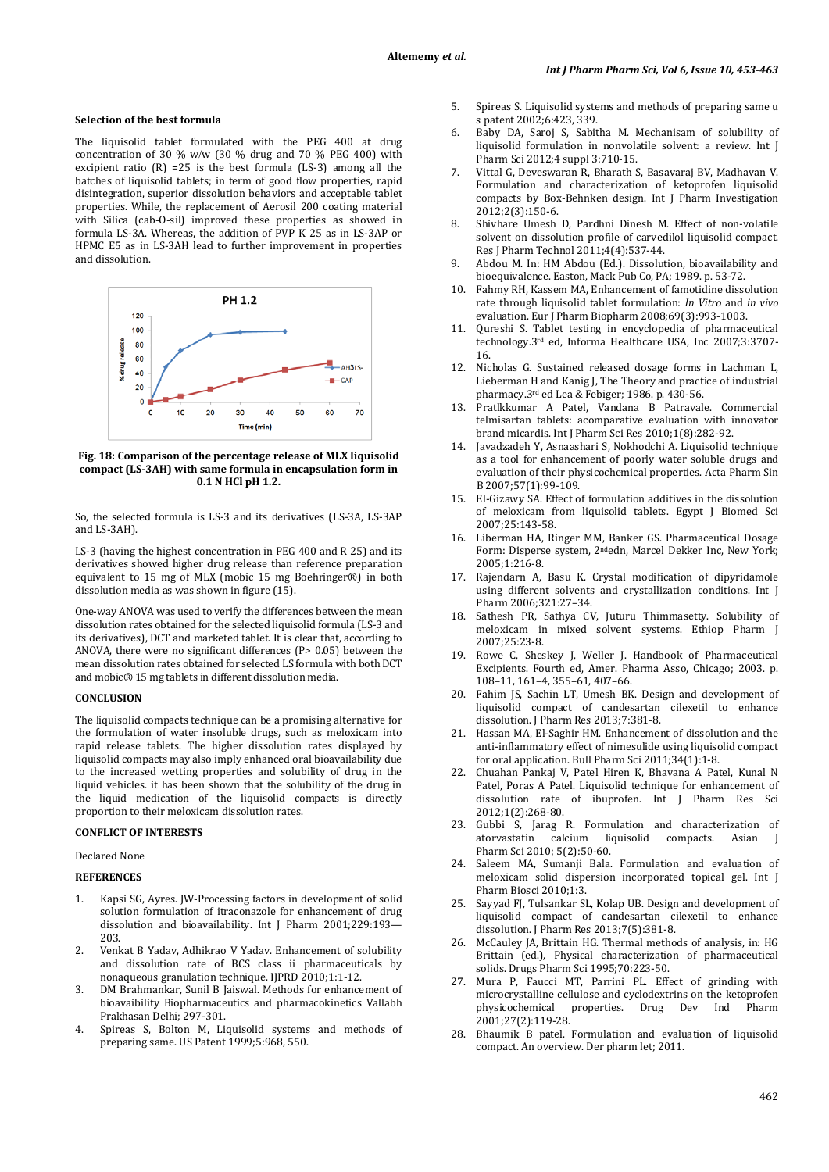### **Selection of the best formula**

The liquisolid tablet formulated with the PEG 400 at drug concentration of 30 % w/w (30 % drug and 70 % PEG 400) with excipient ratio  $(R)$  =25 is the best formula  $(LS-3)$  among all the batches of liquisolid tablets; in term of good flow properties, rapid disintegration, superior dissolution behaviors and acceptable tablet properties. While, the replacement of Aerosil 200 coating material with Silica (cab-O-sil) improved these properties as showed in formula LS-3A. Whereas, the addition of PVP K 25 as in LS-3AP or HPMC E5 as in LS-3AH lead to further improvement in properties and dissolution.



**Fig. 18: Comparison of the percentage release of MLX liquisolid compact (LS-3AH) with same formula in encapsulation form in 0.1 N HCl pH 1.2.**

So, the selected formula is LS-3 and its derivatives (LS-3A, LS-3AP and LS-3AH).

LS-3 (having the highest concentration in PEG 400 and R 25) and its derivatives showed higher drug release than reference preparation equivalent to 15 mg of MLX (mobic 15 mg Boehringer®) in both dissolution media as was shown in figure (15).

One-way ANOVA was used to verify the differences between the mean dissolution rates obtained for the selected liquisolid formula (LS-3 and its derivatives), DCT and marketed tablet. It is clear that, according to ANOVA, there were no significant differences (P> 0.05) between the mean dissolution rates obtained for selected LS formula with both DCT and mobic® 15 mg tablets in different dissolution media.

## **CONCLUSION**

The liquisolid compacts technique can be a promising alternative for the formulation of water insoluble drugs, such as meloxicam into rapid release tablets. The higher dissolution rates displayed by liquisolid compacts may also imply enhanced oral bioavailability due to the increased wetting properties and solubility of drug in the liquid vehicles. it has been shown that the solubility of the drug in the liquid medication of the liquisolid compacts is directly proportion to their meloxicam dissolution rates.

# **CONFLICT OF INTERESTS**

Declared None

### **REFERENCES**

- 1. Kapsi SG, Ayres. JW-Processing factors in development of solid solution formulation of itraconazole for enhancement of drug dissolution and bioavailability. Int J Pharm 2001;229:193— 203.
- 2. Venkat B Yadav, Adhikrao V Yadav. Enhancement of solubility and dissolution rate of BCS class ii pharmaceuticals by nonaqueous granulation technique. IJPRD 2010;1:1-12.
- 3. DM Brahmankar, Sunil B Jaiswal. Methods for enhancement of bioavaibility Biopharmaceutics and pharmacokinetics Vallabh Prakhasan Delhi; 297-301.
- 4. Spireas S, Bolton M, Liquisolid systems and methods of preparing same. US Patent 1999;5:968, 550.
- 5. Spireas S. Liquisolid systems and methods of preparing same u s patent 2002;6:423, 339.
- 6. Baby DA, Saroj S, Sabitha M. Mechanisam of solubility of liquisolid formulation in nonvolatile solvent: a review. Int J Pharm Sci 2012;4 suppl 3:710-15.
- 7. Vittal G, Deveswaran R, Bharath S, Basavaraj BV, Madhavan V. Formulation and characterization of ketoprofen liquisolid compacts by Box-Behnken design. Int J Pharm Investigation 2012;2(3):150-6.
- 8. Shivhare Umesh D, Pardhni Dinesh M. Effect of non-volatile solvent on dissolution profile of carvedilol liquisolid compact. Res J Pharm Technol 2011;4(4):537-44.
- 9. Abdou M. In: HM Abdou (Ed.). Dissolution, bioavailability and bioequivalence. Easton, Mack Pub Co, PA; 1989. p. 53-72.
- 10. Fahmy RH, Kassem MA, Enhancement of famotidine dissolution rate through liquisolid tablet formulation: *In Vitro* and *in vivo* evaluation. Eur J Pharm Biopharm 2008;69(3):993-1003.
- 11. Qureshi S. Tablet testing in encyclopedia of pharmaceutical technology.<sup>3rd</sup> ed, Informa Healthcare USA, Inc 2007;3:3707-16.
- 12. Nicholas G. Sustained released dosage forms in Lachman L, Lieberman H and Kanig J, The Theory and practice of industrial pharmacy.3*<sup>P</sup>* rd*<sup>P</sup>* ed Lea & Febiger; 1986. p. 430-56.
- 13. Pratlkkumar A Patel, Vandana B Patravale. Commercial telmisartan tablets: acomparative evaluation with innovator brand micardis. Int J Pharm Sci Res 2010;1(8):282-92.
- 14. Javadzadeh Y, Asnaashari S, Nokhodchi A. Liquisolid technique as a tool for enhancement of poorly water soluble drugs and evaluation of their physicochemical properties. Acta Pharm Sin B 2007;57(1):99-109.
- 15. El-Gizawy SA. Effect of formulation additives in the dissolution of meloxicam from liquisolid tablets. Egypt J Biomed Sci 2007;25:143-58.
- 16. Liberman HA, Ringer MM, Banker GS. Pharmaceutical Dosage Form: Disperse system, 2<sup>nd</sup>edn, Marcel Dekker Inc, New York; 2005;1:216-8.
- 17. Rajendarn A, Basu K. Crystal modification of dipyridamole using different solvents and crystallization conditions. Int J Pharm 2006;321:27–34.
- 18. Sathesh PR, Sathya CV, Juturu Thimmasetty. Solubility of meloxicam in mixed solvent systems. Ethiop Pharm J 2007;25:23-8.
- 19. Rowe C, Sheskey J, Weller J. Handbook of Pharmaceutical Excipients. Fourth ed, Amer. Pharma Asso, Chicago; 2003. p. 108–11, 161–4, 355–61, 407–66.
- 20. Fahim JS, Sachin LT, Umesh BK. Design and development of liquisolid compact of candesartan cilexetil to enhance dissolution. J Pharm Res 2013;7:381-8.
- 21. Hassan MA, El-Saghir HM. Enhancement of dissolution and the anti-inflammatory effect of nimesulide using liquisolid compact for oral application. Bull Pharm Sci 2011;34(1):1-8.
- 22. Chuahan Pankaj V, Patel Hiren K, Bhavana A Patel, Kunal N Patel, Poras A Patel. Liquisolid technique for enhancement of dissolution rate of ibuprofen. Int J Pharm Res Sci 2012;1(2):268-80.
- 23. Gubbi S, Jarag R. Formulation and characterization of calcium liquisolid compacts. Asian J Pharm Sci 2010; 5(2):50-60.
- 24. Saleem MA, Sumanii Bala. Formulation and evaluation of meloxicam solid dispersion incorporated topical gel. Int J Pharm Biosci 2010;1:3.
- Sayyad FJ, Tulsankar SL, Kolap UB. Design and development of liquisolid compact of candesartan cilexetil to enhance dissolution. J Pharm Res 2013;7(5):381-8.
- 26. McCauley JA, Brittain HG. Thermal methods of analysis, in: HG Brittain (ed.), Physical characterization of pharmaceutical solids. Drugs Pharm Sci 1995;70:223-50.
- 27. Mura P, Faucci MT, Parrini PL. Effect of grinding with microcrystalline cellulose and cyclodextrins on the ketoprofen<br>physicochemical properties. Drug Dev Ind Pharm Drug Dev 2001;27(2):119-28.
- 28. Bhaumik B patel. Formulation and evaluation of liquisolid compact. An overview. Der pharm let; 2011.